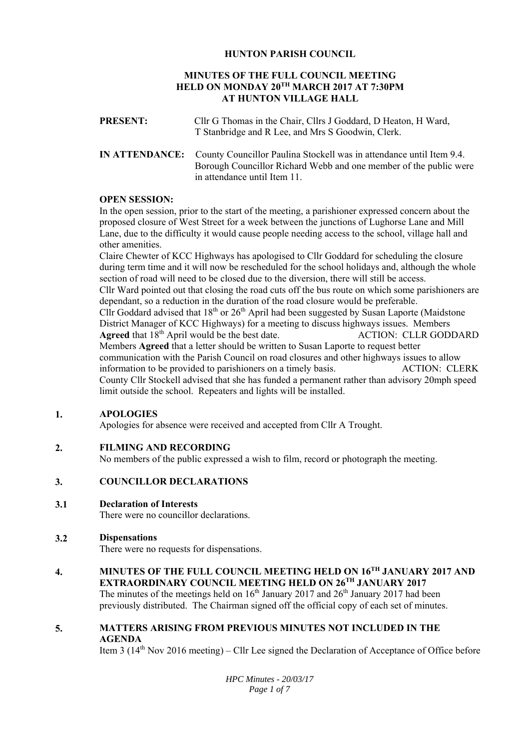# **HUNTON PARISH COUNCIL**

# **MINUTES OF THE FULL COUNCIL MEETING HELD ON MONDAY 20TH MARCH 2017 AT 7:30PM AT HUNTON VILLAGE HALL**

| <b>PRESENT:</b> | Cllr G Thomas in the Chair, Cllrs J Goddard, D Heaton, H Ward, |
|-----------------|----------------------------------------------------------------|
|                 | T Stanbridge and R Lee, and Mrs S Goodwin, Clerk.              |
|                 |                                                                |

**IN ATTENDANCE:** County Councillor Paulina Stockell was in attendance until Item 9.4. Borough Councillor Richard Webb and one member of the public were in attendance until Item 11.

## **OPEN SESSION:**

In the open session, prior to the start of the meeting, a parishioner expressed concern about the proposed closure of West Street for a week between the junctions of Lughorse Lane and Mill Lane, due to the difficulty it would cause people needing access to the school, village hall and other amenities.

Claire Chewter of KCC Highways has apologised to Cllr Goddard for scheduling the closure during term time and it will now be rescheduled for the school holidays and, although the whole section of road will need to be closed due to the diversion, there will still be access. Cllr Ward pointed out that closing the road cuts off the bus route on which some parishioners are dependant, so a reduction in the duration of the road closure would be preferable. Cllr Goddard advised that  $18<sup>th</sup>$  or  $26<sup>th</sup>$  April had been suggested by Susan Laporte (Maidstone District Manager of KCC Highways) for a meeting to discuss highways issues. Members **Agreed** that  $18<sup>th</sup>$  April would be the best date. ACTION: CLLR GODDARD Members **Agreed** that a letter should be written to Susan Laporte to request better communication with the Parish Council on road closures and other highways issues to allow information to be provided to parishioners on a timely basis. ACTION: CLERK County Cllr Stockell advised that she has funded a permanent rather than advisory 20mph speed limit outside the school. Repeaters and lights will be installed.

#### **1. APOLOGIES**

Apologies for absence were received and accepted from Cllr A Trought.

#### **2. FILMING AND RECORDING**

No members of the public expressed a wish to film, record or photograph the meeting.

#### **3. COUNCILLOR DECLARATIONS**

#### **3.1 Declaration of Interests**

There were no councillor declarations.

#### **3.2 Dispensations**

There were no requests for dispensations.

## **4. MINUTES OF THE FULL COUNCIL MEETING HELD ON 16TH JANUARY 2017 AND EXTRAORDINARY COUNCIL MEETING HELD ON 26TH JANUARY 2017**

The minutes of the meetings held on  $16<sup>th</sup>$  January 2017 and  $26<sup>th</sup>$  January 2017 had been previously distributed. The Chairman signed off the official copy of each set of minutes.

## **5. MATTERS ARISING FROM PREVIOUS MINUTES NOT INCLUDED IN THE AGENDA**

Item 3  $(14<sup>th</sup> Nov 2016 meeting) – Cllr Lee signed the Declaration of Acceptance of Office before$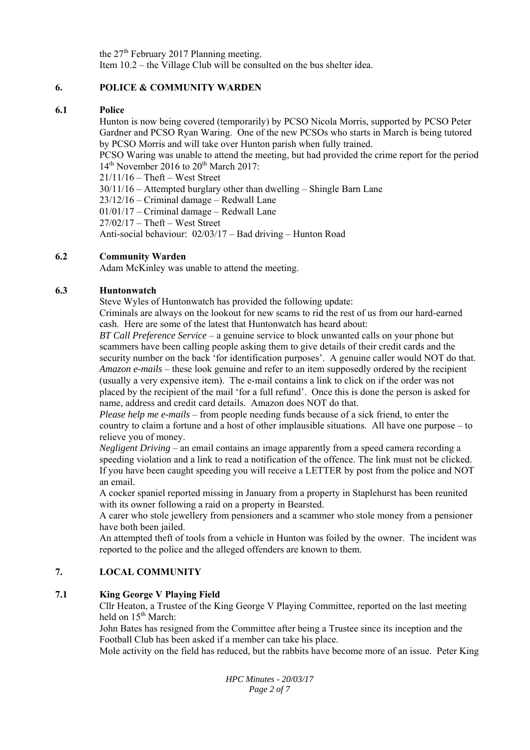the 27<sup>th</sup> February 2017 Planning meeting. Item 10.2 – the Village Club will be consulted on the bus shelter idea.

#### **6. POLICE & COMMUNITY WARDEN**

#### **6.1 Police**

Hunton is now being covered (temporarily) by PCSO Nicola Morris, supported by PCSO Peter Gardner and PCSO Ryan Waring. One of the new PCSOs who starts in March is being tutored by PCSO Morris and will take over Hunton parish when fully trained.

PCSO Waring was unable to attend the meeting, but had provided the crime report for the period  $14<sup>th</sup>$  November 2016 to  $20<sup>th</sup>$  March 2017:

21/11/16 – Theft – West Street

30/11/16 – Attempted burglary other than dwelling – Shingle Barn Lane

23/12/16 – Criminal damage – Redwall Lane

01/01/17 – Criminal damage – Redwall Lane

27/02/17 – Theft – West Street

Anti-social behaviour: 02/03/17 – Bad driving – Hunton Road

#### **6.2 Community Warden**

Adam McKinley was unable to attend the meeting.

#### **6.3 Huntonwatch**

Steve Wyles of Huntonwatch has provided the following update:

Criminals are always on the lookout for new scams to rid the rest of us from our hard-earned cash. Here are some of the latest that Huntonwatch has heard about:

*BT Call Preference Service* – a genuine service to block unwanted calls on your phone but scammers have been calling people asking them to give details of their credit cards and the security number on the back 'for identification purposes'. A genuine caller would NOT do that. *Amazon e-mails* – these look genuine and refer to an item supposedly ordered by the recipient (usually a very expensive item). The e-mail contains a link to click on if the order was not placed by the recipient of the mail 'for a full refund'. Once this is done the person is asked for name, address and credit card details. Amazon does NOT do that.

*Please help me e-mails* – from people needing funds because of a sick friend, to enter the country to claim a fortune and a host of other implausible situations. All have one purpose – to relieve you of money.

*Negligent Driving* – an email contains an image apparently from a speed camera recording a speeding violation and a link to read a notification of the offence. The link must not be clicked. If you have been caught speeding you will receive a LETTER by post from the police and NOT an email.

A cocker spaniel reported missing in January from a property in Staplehurst has been reunited with its owner following a raid on a property in Bearsted.

A carer who stole jewellery from pensioners and a scammer who stole money from a pensioner have both been jailed.

An attempted theft of tools from a vehicle in Hunton was foiled by the owner. The incident was reported to the police and the alleged offenders are known to them.

#### **7. LOCAL COMMUNITY**

#### **7.1 King George V Playing Field**

Cllr Heaton, a Trustee of the King George V Playing Committee, reported on the last meeting held on 15<sup>th</sup> March:

John Bates has resigned from the Committee after being a Trustee since its inception and the Football Club has been asked if a member can take his place.

Mole activity on the field has reduced, but the rabbits have become more of an issue. Peter King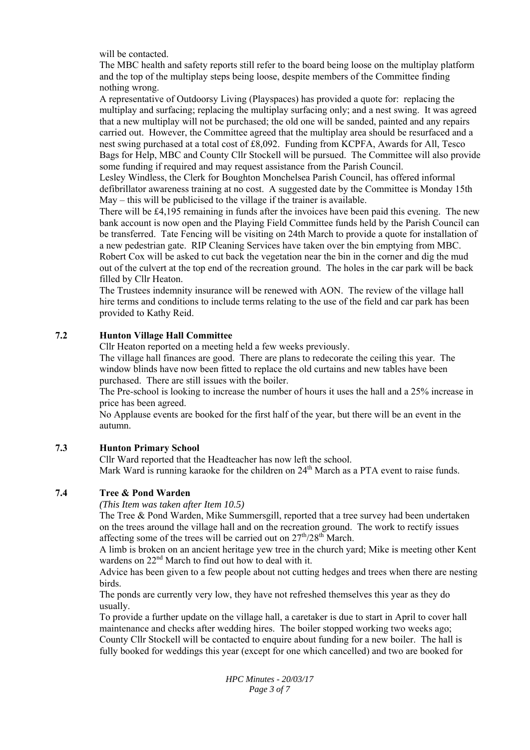will be contacted.

The MBC health and safety reports still refer to the board being loose on the multiplay platform and the top of the multiplay steps being loose, despite members of the Committee finding nothing wrong.

A representative of Outdoorsy Living (Playspaces) has provided a quote for: replacing the multiplay and surfacing; replacing the multiplay surfacing only; and a nest swing. It was agreed that a new multiplay will not be purchased; the old one will be sanded, painted and any repairs carried out. However, the Committee agreed that the multiplay area should be resurfaced and a nest swing purchased at a total cost of £8,092. Funding from KCPFA, Awards for All, Tesco Bags for Help, MBC and County Cllr Stockell will be pursued. The Committee will also provide some funding if required and may request assistance from the Parish Council.

Lesley Windless, the Clerk for Boughton Monchelsea Parish Council, has offered informal defibrillator awareness training at no cost. A suggested date by the Committee is Monday 15th May – this will be publicised to the village if the trainer is available.

There will be £4,195 remaining in funds after the invoices have been paid this evening. The new bank account is now open and the Playing Field Committee funds held by the Parish Council can be transferred. Tate Fencing will be visiting on 24th March to provide a quote for installation of a new pedestrian gate. RIP Cleaning Services have taken over the bin emptying from MBC. Robert Cox will be asked to cut back the vegetation near the bin in the corner and dig the mud out of the culvert at the top end of the recreation ground. The holes in the car park will be back filled by Cllr Heaton.

The Trustees indemnity insurance will be renewed with AON. The review of the village hall hire terms and conditions to include terms relating to the use of the field and car park has been provided to Kathy Reid.

#### **7.2 Hunton Village Hall Committee**

Cllr Heaton reported on a meeting held a few weeks previously.

The village hall finances are good. There are plans to redecorate the ceiling this year. The window blinds have now been fitted to replace the old curtains and new tables have been purchased. There are still issues with the boiler.

The Pre-school is looking to increase the number of hours it uses the hall and a 25% increase in price has been agreed.

No Applause events are booked for the first half of the year, but there will be an event in the autumn.

#### **7.3 Hunton Primary School**

Cllr Ward reported that the Headteacher has now left the school. Mark Ward is running karaoke for the children on 24<sup>th</sup> March as a PTA event to raise funds.

#### **7.4 Tree & Pond Warden**

*(This Item was taken after Item 10.5)*

The Tree & Pond Warden, Mike Summersgill, reported that a tree survey had been undertaken on the trees around the village hall and on the recreation ground. The work to rectify issues affecting some of the trees will be carried out on  $27<sup>th</sup>/28<sup>th</sup>$  March.

A limb is broken on an ancient heritage yew tree in the church yard; Mike is meeting other Kent wardens on 22nd March to find out how to deal with it.

Advice has been given to a few people about not cutting hedges and trees when there are nesting birds.

The ponds are currently very low, they have not refreshed themselves this year as they do usually.

To provide a further update on the village hall, a caretaker is due to start in April to cover hall maintenance and checks after wedding hires. The boiler stopped working two weeks ago; County Cllr Stockell will be contacted to enquire about funding for a new boiler. The hall is fully booked for weddings this year (except for one which cancelled) and two are booked for

> *HPC Minutes - 20/03/17 Page 3 of 7*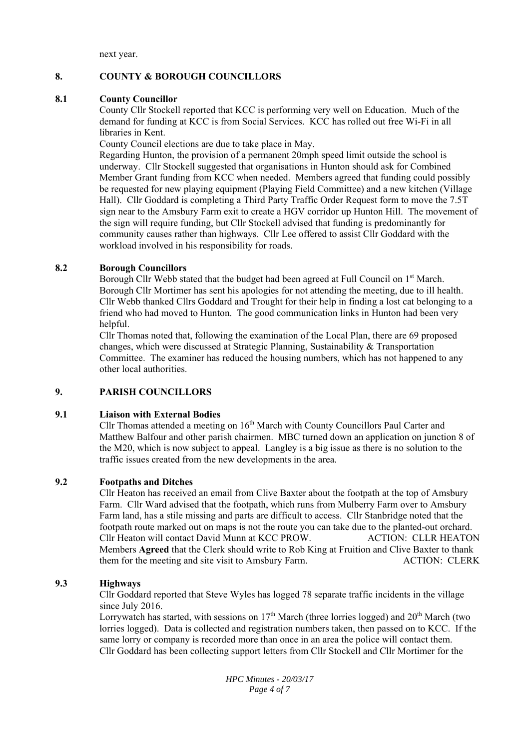next year.

### **8. COUNTY & BOROUGH COUNCILLORS**

### **8.1 County Councillor**

County Cllr Stockell reported that KCC is performing very well on Education. Much of the demand for funding at KCC is from Social Services. KCC has rolled out free Wi-Fi in all libraries in Kent.

County Council elections are due to take place in May.

Regarding Hunton, the provision of a permanent 20mph speed limit outside the school is underway. Cllr Stockell suggested that organisations in Hunton should ask for Combined Member Grant funding from KCC when needed. Members agreed that funding could possibly be requested for new playing equipment (Playing Field Committee) and a new kitchen (Village Hall). Cllr Goddard is completing a Third Party Traffic Order Request form to move the 7.5T sign near to the Amsbury Farm exit to create a HGV corridor up Hunton Hill. The movement of the sign will require funding, but Cllr Stockell advised that funding is predominantly for community causes rather than highways. Cllr Lee offered to assist Cllr Goddard with the workload involved in his responsibility for roads.

## **8.2 Borough Councillors**

Borough Cllr Webb stated that the budget had been agreed at Full Council on 1<sup>st</sup> March. Borough Cllr Mortimer has sent his apologies for not attending the meeting, due to ill health. Cllr Webb thanked Cllrs Goddard and Trought for their help in finding a lost cat belonging to a friend who had moved to Hunton. The good communication links in Hunton had been very helpful.

Cllr Thomas noted that, following the examination of the Local Plan, there are 69 proposed changes, which were discussed at Strategic Planning, Sustainability & Transportation Committee. The examiner has reduced the housing numbers, which has not happened to any other local authorities.

## **9. PARISH COUNCILLORS**

## **9.1 Liaison with External Bodies**

Cllr Thomas attended a meeting on 16th March with County Councillors Paul Carter and Matthew Balfour and other parish chairmen. MBC turned down an application on junction 8 of the M20, which is now subject to appeal. Langley is a big issue as there is no solution to the traffic issues created from the new developments in the area.

## **9.2 Footpaths and Ditches**

Cllr Heaton has received an email from Clive Baxter about the footpath at the top of Amsbury Farm. Cllr Ward advised that the footpath, which runs from Mulberry Farm over to Amsbury Farm land, has a stile missing and parts are difficult to access. Cllr Stanbridge noted that the footpath route marked out on maps is not the route you can take due to the planted-out orchard. Cllr Heaton will contact David Munn at KCC PROW. ACTION: CLLR HEATON Members **Agreed** that the Clerk should write to Rob King at Fruition and Clive Baxter to thank them for the meeting and site visit to Amsbury Farm. ACTION: CLERK

## **9.3 Highways**

Cllr Goddard reported that Steve Wyles has logged 78 separate traffic incidents in the village since July 2016.

Lorrywatch has started, with sessions on  $17<sup>th</sup>$  March (three lorries logged) and  $20<sup>th</sup>$  March (two lorries logged). Data is collected and registration numbers taken, then passed on to KCC. If the same lorry or company is recorded more than once in an area the police will contact them. Cllr Goddard has been collecting support letters from Cllr Stockell and Cllr Mortimer for the

> *HPC Minutes - 20/03/17 Page 4 of 7*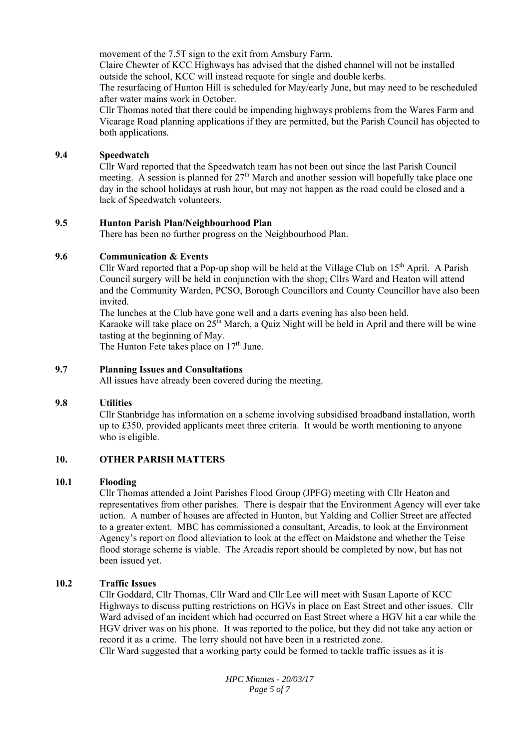movement of the 7.5T sign to the exit from Amsbury Farm.

Claire Chewter of KCC Highways has advised that the dished channel will not be installed outside the school, KCC will instead requote for single and double kerbs.

The resurfacing of Hunton Hill is scheduled for May/early June, but may need to be rescheduled after water mains work in October.

Cllr Thomas noted that there could be impending highways problems from the Wares Farm and Vicarage Road planning applications if they are permitted, but the Parish Council has objected to both applications.

#### **9.4 Speedwatch**

Cllr Ward reported that the Speedwatch team has not been out since the last Parish Council meeting. A session is planned for  $27<sup>th</sup>$  March and another session will hopefully take place one day in the school holidays at rush hour, but may not happen as the road could be closed and a lack of Speedwatch volunteers.

#### **9.5 Hunton Parish Plan/Neighbourhood Plan**

There has been no further progress on the Neighbourhood Plan.

#### **9.6 Communication & Events**

Cllr Ward reported that a Pop-up shop will be held at the Village Club on  $15<sup>th</sup>$  April. A Parish Council surgery will be held in conjunction with the shop; Cllrs Ward and Heaton will attend and the Community Warden, PCSO, Borough Councillors and County Councillor have also been invited.

The lunches at the Club have gone well and a darts evening has also been held. Karaoke will take place on  $25^{\text{th}}$  March, a Quiz Night will be held in April and there will be wine tasting at the beginning of May.

The Hunton Fete takes place on  $17<sup>th</sup>$  June.

#### **9.7 Planning Issues and Consultations**

All issues have already been covered during the meeting.

#### **9.8 Utilities**

Cllr Stanbridge has information on a scheme involving subsidised broadband installation, worth up to £350, provided applicants meet three criteria. It would be worth mentioning to anyone who is eligible.

#### **10. OTHER PARISH MATTERS**

#### **10.1 Flooding**

Cllr Thomas attended a Joint Parishes Flood Group (JPFG) meeting with Cllr Heaton and representatives from other parishes. There is despair that the Environment Agency will ever take action. A number of houses are affected in Hunton, but Yalding and Collier Street are affected to a greater extent. MBC has commissioned a consultant, Arcadis, to look at the Environment Agency's report on flood alleviation to look at the effect on Maidstone and whether the Teise flood storage scheme is viable. The Arcadis report should be completed by now, but has not been issued yet.

#### **10.2 Traffic Issues**

Cllr Goddard, Cllr Thomas, Cllr Ward and Cllr Lee will meet with Susan Laporte of KCC Highways to discuss putting restrictions on HGVs in place on East Street and other issues. Cllr Ward advised of an incident which had occurred on East Street where a HGV hit a car while the HGV driver was on his phone. It was reported to the police, but they did not take any action or record it as a crime. The lorry should not have been in a restricted zone. Cllr Ward suggested that a working party could be formed to tackle traffic issues as it is

> *HPC Minutes - 20/03/17 Page 5 of 7*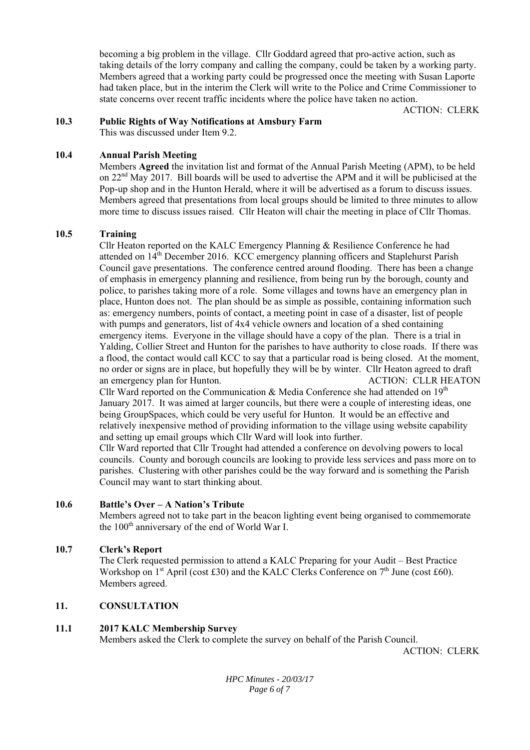becoming a big problem in the village. Cllr Goddard agreed that pro-active action, such as taking details of the lorry company and calling the company, could be taken by a working party. Members agreed that a working party could be progressed once the meeting with Susan Laporte had taken place, but in the interim the Clerk will write to the Police and Crime Commissioner to state concerns over recent traffic incidents where the police have taken no action.

ACTION: CLERK

#### **10.3 Public Rights of Way Notifications at Amsbury Farm**

This was discussed under Item 9.2.

#### **10.4 Annual Parish Meeting**

Members **Agreed** the invitation list and format of the Annual Parish Meeting (APM), to be held on  $22<sup>nd</sup>$  May 2017. Bill boards will be used to advertise the APM and it will be publicised at the Pop-up shop and in the Hunton Herald, where it will be advertised as a forum to discuss issues. Members agreed that presentations from local groups should be limited to three minutes to allow more time to discuss issues raised. Cllr Heaton will chair the meeting in place of Cllr Thomas.

#### **10.5 Training**

Cllr Heaton reported on the KALC Emergency Planning & Resilience Conference he had attended on 14th December 2016. KCC emergency planning officers and Staplehurst Parish Council gave presentations. The conference centred around flooding. There has been a change of emphasis in emergency planning and resilience, from being run by the borough, county and police, to parishes taking more of a role. Some villages and towns have an emergency plan in place, Hunton does not. The plan should be as simple as possible, containing information such as: emergency numbers, points of contact, a meeting point in case of a disaster, list of people with pumps and generators, list of 4x4 vehicle owners and location of a shed containing emergency items. Everyone in the village should have a copy of the plan. There is a trial in Yalding, Collier Street and Hunton for the parishes to have authority to close roads. If there was a flood, the contact would call KCC to say that a particular road is being closed. At the moment, no order or signs are in place, but hopefully they will be by winter. Cllr Heaton agreed to draft an emergency plan for Hunton. ACTION: CLLR HEATON Cllr Ward reported on the Communication & Media Conference she had attended on 19th January 2017. It was aimed at larger councils, but there were a couple of interesting ideas, one being GroupSpaces, which could be very useful for Hunton. It would be an effective and

relatively inexpensive method of providing information to the village using website capability and setting up email groups which Cllr Ward will look into further.

Cllr Ward reported that Cllr Trought had attended a conference on devolving powers to local councils. County and borough councils are looking to provide less services and pass more on to parishes. Clustering with other parishes could be the way forward and is something the Parish Council may want to start thinking about.

#### **10.6 Battle's Over – A Nation's Tribute**

Members agreed not to take part in the beacon lighting event being organised to commemorate the 100<sup>th</sup> anniversary of the end of World War I.

#### **10.7 Clerk's Report**

The Clerk requested permission to attend a KALC Preparing for your Audit – Best Practice Workshop on  $1<sup>st</sup>$  April (cost £30) and the KALC Clerks Conference on  $7<sup>th</sup>$  June (cost £60). Members agreed.

#### **11. CONSULTATION**

#### **11.1 2017 KALC Membership Survey**

Members asked the Clerk to complete the survey on behalf of the Parish Council.

ACTION: CLERK